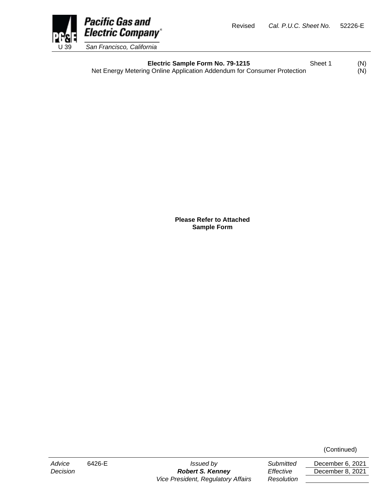

**Electric Sample Form No. 79-1215** Sheet 1 (N) Net Energy Metering Online Application Addendum for Consumer Protection (N)

> **Please Refer to Attached Sample Form**

> > (Continued)